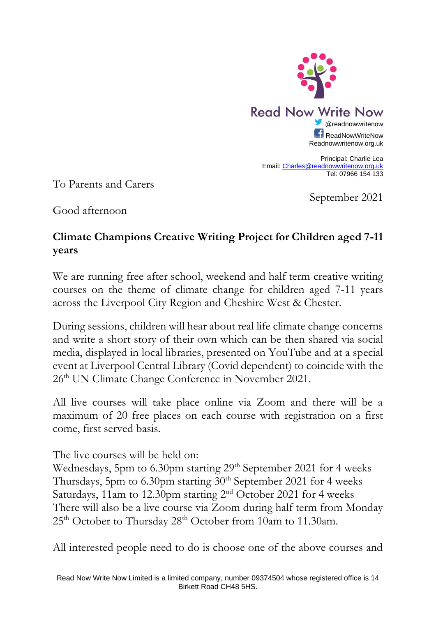

Principal: Charlie Lea Email[: Charles@readnowwritenow.org.uk](mailto:Charles@readnowwritenow.org.uk) Tel: 07966 154 133

To Parents and Carers

September 2021

Good afternoon

## **Climate Champions Creative Writing Project for Children aged 7-11 years**

We are running free after school, weekend and half term creative writing courses on the theme of climate change for children aged 7-11 years across the Liverpool City Region and Cheshire West & Chester.

During sessions, children will hear about real life climate change concerns and write a short story of their own which can be then shared via social media, displayed in local libraries, presented on YouTube and at a special event at Liverpool Central Library (Covid dependent) to coincide with the 26<sup>th</sup> UN Climate Change Conference in November 2021.

All live courses will take place online via Zoom and there will be a maximum of 20 free places on each course with registration on a first come, first served basis.

The live courses will be held on:

Wednesdays, 5pm to 6.30pm starting 29<sup>th</sup> September 2021 for 4 weeks Thursdays, 5pm to 6.30pm starting  $30<sup>th</sup>$  September 2021 for 4 weeks Saturdays, 11am to 12.30pm starting 2nd October 2021 for 4 weeks There will also be a live course via Zoom during half term from Monday 25<sup>th</sup> October to Thursday 28<sup>th</sup> October from 10am to 11.30am.

All interested people need to do is choose one of the above courses and